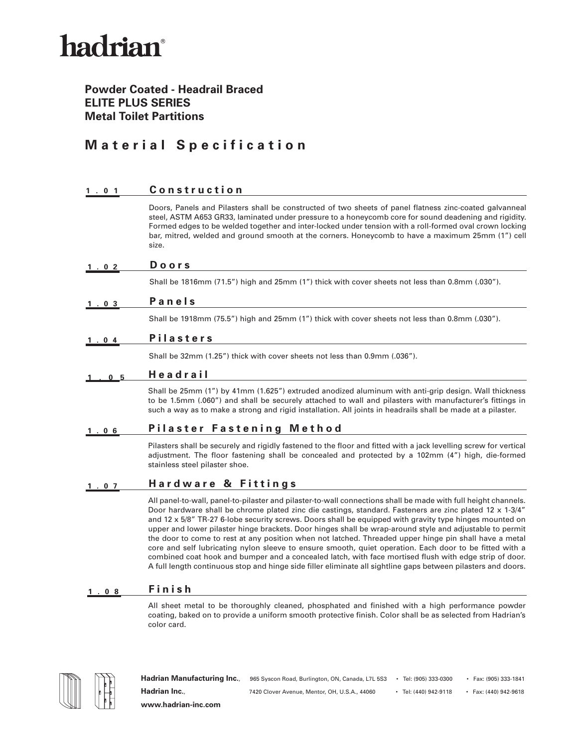## hadrian®

### **Powder Coated - Headrail Braced ELITE PLUS SERIES Metal Toilet Partitions**

### **Material Specification**

| 1.01           | Construction                                                                                                                                                                                                                                                                                                                                                                                                                                                                                                                                                                                                                                                                                                                                                                                                                                                                                     |
|----------------|--------------------------------------------------------------------------------------------------------------------------------------------------------------------------------------------------------------------------------------------------------------------------------------------------------------------------------------------------------------------------------------------------------------------------------------------------------------------------------------------------------------------------------------------------------------------------------------------------------------------------------------------------------------------------------------------------------------------------------------------------------------------------------------------------------------------------------------------------------------------------------------------------|
|                | Doors, Panels and Pilasters shall be constructed of two sheets of panel flatness zinc-coated galvanneal<br>steel, ASTM A653 GR33, laminated under pressure to a honeycomb core for sound deadening and rigidity.<br>Formed edges to be welded together and inter-locked under tension with a roll-formed oval crown locking<br>bar, mitred, welded and ground smooth at the corners. Honeycomb to have a maximum 25mm (1") cell<br>size.                                                                                                                                                                                                                                                                                                                                                                                                                                                         |
| .02            | <b>Doors</b>                                                                                                                                                                                                                                                                                                                                                                                                                                                                                                                                                                                                                                                                                                                                                                                                                                                                                     |
|                | Shall be 1816mm (71.5") high and 25mm (1") thick with cover sheets not less than 0.8mm (.030").                                                                                                                                                                                                                                                                                                                                                                                                                                                                                                                                                                                                                                                                                                                                                                                                  |
| 1.03           | Panels                                                                                                                                                                                                                                                                                                                                                                                                                                                                                                                                                                                                                                                                                                                                                                                                                                                                                           |
|                | Shall be 1918mm (75.5") high and 25mm (1") thick with cover sheets not less than 0.8mm (.030").                                                                                                                                                                                                                                                                                                                                                                                                                                                                                                                                                                                                                                                                                                                                                                                                  |
| 1.04           | <b>Pilasters</b>                                                                                                                                                                                                                                                                                                                                                                                                                                                                                                                                                                                                                                                                                                                                                                                                                                                                                 |
|                | Shall be 32mm (1.25") thick with cover sheets not less than 0.9mm (.036").                                                                                                                                                                                                                                                                                                                                                                                                                                                                                                                                                                                                                                                                                                                                                                                                                       |
| 0 <sub>5</sub> | Headrail                                                                                                                                                                                                                                                                                                                                                                                                                                                                                                                                                                                                                                                                                                                                                                                                                                                                                         |
|                | Shall be 25mm (1") by 41mm (1.625") extruded anodized aluminum with anti-grip design. Wall thickness<br>to be 1.5mm (.060") and shall be securely attached to wall and pilasters with manufacturer's fittings in<br>such a way as to make a strong and rigid installation. All joints in headrails shall be made at a pilaster.                                                                                                                                                                                                                                                                                                                                                                                                                                                                                                                                                                  |
| . 06           | <b>Pilaster Fastening Method</b>                                                                                                                                                                                                                                                                                                                                                                                                                                                                                                                                                                                                                                                                                                                                                                                                                                                                 |
|                | Pilasters shall be securely and rigidly fastened to the floor and fitted with a jack levelling screw for vertical<br>adjustment. The floor fastening shall be concealed and protected by a 102mm (4") high, die-formed<br>stainless steel pilaster shoe.                                                                                                                                                                                                                                                                                                                                                                                                                                                                                                                                                                                                                                         |
| $1.07$         | Hardware & Fittings                                                                                                                                                                                                                                                                                                                                                                                                                                                                                                                                                                                                                                                                                                                                                                                                                                                                              |
|                | All panel-to-wall, panel-to-pilaster and pilaster-to-wall connections shall be made with full height channels.<br>Door hardware shall be chrome plated zinc die castings, standard. Fasteners are zinc plated 12 x 1-3/4"<br>and 12 x 5/8" TR-27 6-lobe security screws. Doors shall be equipped with gravity type hinges mounted on<br>upper and lower pilaster hinge brackets. Door hinges shall be wrap-around style and adjustable to permit<br>the door to come to rest at any position when not latched. Threaded upper hinge pin shall have a metal<br>core and self lubricating nylon sleeve to ensure smooth, quiet operation. Each door to be fitted with a<br>combined coat hook and bumper and a concealed latch, with face mortised flush with edge strip of door.<br>A full length continuous stop and hinge side filler eliminate all sightline gaps between pilasters and doors. |

#### **1.08 Finish**

All sheet metal to be thoroughly cleaned, phosphated and finished with a high performance powder coating, baked on to provide a uniform smooth protective finish. Color shall be as selected from Hadrian's color card.